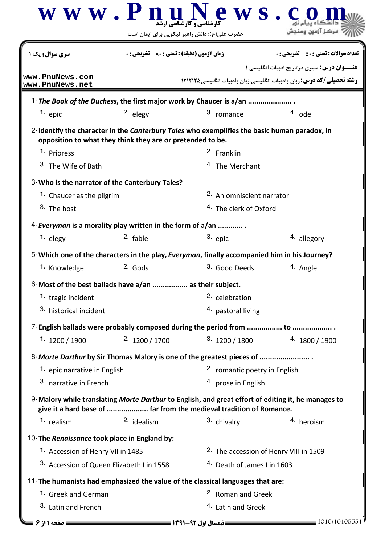|                                                | www.Pnul<br>حضرت علی(ع): دانش راهبر نیکویی برای ایمان است  | ews.<br><b>پر میں ہے۔</b><br>کارشناسی و کارشناس <i>ی</i> ارشد                                                                                                             |                                                                                                                                   |  |  |
|------------------------------------------------|------------------------------------------------------------|---------------------------------------------------------------------------------------------------------------------------------------------------------------------------|-----------------------------------------------------------------------------------------------------------------------------------|--|--|
| <b>سری سوال :</b> یک ۱                         | <b>زمان آزمون (دقیقه) : تستی : 80 ٪ تشریحی : 0</b>         |                                                                                                                                                                           | <b>تعداد سوالات : تستی : 50 ٪ تشریحی : 0</b>                                                                                      |  |  |
| www.PnuNews.com<br>www.PnuNews.net             |                                                            |                                                                                                                                                                           | <b>عنـــوان درس:</b> سیری درتاریخ ادبیات انگلیسی ۱<br><b>رشته تحصیلی/کد درس:</b> زبان وادبیات انگلیسی،زبان وادبیات انگلیسی1۲۱۲۱۲۵ |  |  |
|                                                |                                                            | 1- The Book of the Duchess, the first major work by Chaucer is a/an                                                                                                       |                                                                                                                                   |  |  |
| $1.$ epic                                      | 2. elegy                                                   | 3. romance                                                                                                                                                                | $4.$ ode                                                                                                                          |  |  |
|                                                | opposition to what they think they are or pretended to be. | 2-Identify the character in the <i>Canterbury Tales</i> who exemplifies the basic human paradox, in                                                                       |                                                                                                                                   |  |  |
| 1. Prioress                                    |                                                            | 2. Franklin                                                                                                                                                               |                                                                                                                                   |  |  |
| <sup>3</sup> The Wife of Bath                  |                                                            | <sup>4.</sup> The Merchant                                                                                                                                                |                                                                                                                                   |  |  |
| 3-Who is the narrator of the Canterbury Tales? |                                                            |                                                                                                                                                                           |                                                                                                                                   |  |  |
| 1. Chaucer as the pilgrim                      |                                                            |                                                                                                                                                                           | 2. An omniscient narrator                                                                                                         |  |  |
| 3. The host                                    |                                                            |                                                                                                                                                                           | <sup>4.</sup> The clerk of Oxford                                                                                                 |  |  |
|                                                | 4-Everyman is a morality play written in the form of a/an  |                                                                                                                                                                           |                                                                                                                                   |  |  |
| 1. elegy                                       | 2. fable                                                   | 3. epic                                                                                                                                                                   | 4. allegory                                                                                                                       |  |  |
|                                                |                                                            | 5-Which one of the characters in the play, Everyman, finally accompanied him in his Journey?                                                                              |                                                                                                                                   |  |  |
| 1. Knowledge                                   | $2.$ Gods                                                  | 3. Good Deeds                                                                                                                                                             | 4. Angle                                                                                                                          |  |  |
|                                                | 6-Most of the best ballads have a/an  as their subject.    |                                                                                                                                                                           |                                                                                                                                   |  |  |
| 1. tragic incident                             |                                                            | 2. celebration                                                                                                                                                            |                                                                                                                                   |  |  |
| 3. historical incident                         |                                                            | 4. pastoral living                                                                                                                                                        |                                                                                                                                   |  |  |
|                                                |                                                            |                                                                                                                                                                           |                                                                                                                                   |  |  |
| 1. $1200 / 1900$                               | 2.1200 / 1700                                              | 3.1200 / 1800                                                                                                                                                             | 4.1800 / 1900                                                                                                                     |  |  |
|                                                |                                                            | 8-Morte Darthur by Sir Thomas Malory is one of the greatest pieces of                                                                                                     |                                                                                                                                   |  |  |
| 1. epic narrative in English                   |                                                            | 2. romantic poetry in English                                                                                                                                             |                                                                                                                                   |  |  |
| 3. narrative in French                         |                                                            | 4. prose in English                                                                                                                                                       |                                                                                                                                   |  |  |
|                                                |                                                            | 9-Malory while translating Morte Darthur to English, and great effort of editing it, he manages to<br>give it a hard base of  far from the medieval tradition of Romance. |                                                                                                                                   |  |  |
| 1. realism                                     | 2. idealism                                                | 3. chivalry                                                                                                                                                               | 4. heroism                                                                                                                        |  |  |
| 10-The Renaissance took place in England by:   |                                                            |                                                                                                                                                                           |                                                                                                                                   |  |  |
| 1. Accession of Henry VII in 1485              |                                                            | <sup>2.</sup> The accession of Henry VIII in 1509                                                                                                                         |                                                                                                                                   |  |  |
| 3. Accession of Queen Elizabeth I in 1558      |                                                            | <sup>4.</sup> Death of James I in 1603                                                                                                                                    |                                                                                                                                   |  |  |
|                                                |                                                            | 11-The humanists had emphasized the value of the classical languages that are:                                                                                            |                                                                                                                                   |  |  |
| 1. Greek and German                            |                                                            | <sup>2.</sup> Roman and Greek                                                                                                                                             |                                                                                                                                   |  |  |
| 3. Latin and French                            |                                                            | <sup>4.</sup> Latin and Greek                                                                                                                                             |                                                                                                                                   |  |  |
|                                                |                                                            |                                                                                                                                                                           |                                                                                                                                   |  |  |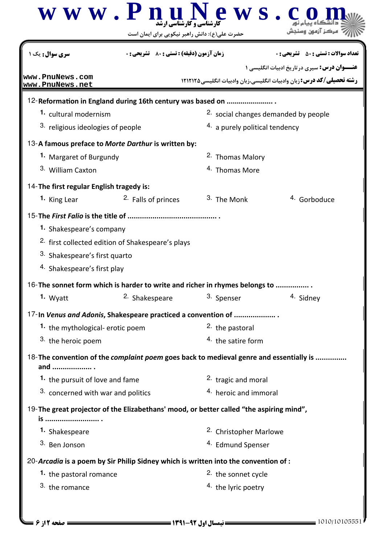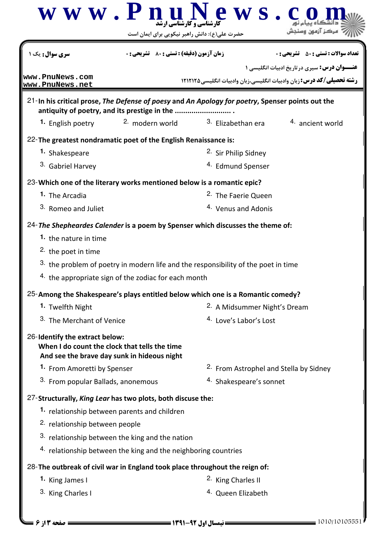| <b>سری سوال :</b> یک                                                                                                                             | <b>زمان آزمون (دقیقه) : تستی : 80 ٪ تشریحی : 0</b> |                                                                                    | <b>تعداد سوالات : تستي : 50 ٪ تشريحي : 0</b>        |  |
|--------------------------------------------------------------------------------------------------------------------------------------------------|----------------------------------------------------|------------------------------------------------------------------------------------|-----------------------------------------------------|--|
|                                                                                                                                                  |                                                    |                                                                                    | <b>عنـــوان درس:</b> سیری در تاریخ ادبیات انگلیسی ۱ |  |
| www.PnuNews.com<br>www.PnuNews.net                                                                                                               |                                                    | رشته تحصیلی/کد درس: زبان وادبیات انگلیسی،زبان وادبیات انگلیسی،۱۲۱۲۱۲۵              |                                                     |  |
| 21-In his critical prose, The Defense of poesy and An Apology for poetry, Spenser points out the<br>antiquity of poetry, and its prestige in the |                                                    |                                                                                    |                                                     |  |
| 1. English poetry                                                                                                                                | <sup>2.</sup> modern world                         | <sup>3.</sup> Elizabethan era                                                      | 4. ancient world                                    |  |
| 22-The greatest nondramatic poet of the English Renaissance is:                                                                                  |                                                    |                                                                                    |                                                     |  |
| 1. Shakespeare                                                                                                                                   |                                                    | 2. Sir Philip Sidney                                                               |                                                     |  |
| <sup>3</sup> Gabriel Harvey                                                                                                                      |                                                    | <sup>4.</sup> Edmund Spenser                                                       |                                                     |  |
| 23-Which one of the literary works mentioned below is a romantic epic?                                                                           |                                                    |                                                                                    |                                                     |  |
| <sup>1</sup> The Arcadia                                                                                                                         | <sup>2.</sup> The Faerie Queen                     |                                                                                    |                                                     |  |
| 3. Romeo and Juliet                                                                                                                              |                                                    | <sup>4.</sup> Venus and Adonis                                                     |                                                     |  |
| 24- The Shepheardes Calender is a poem by Spenser which discusses the theme of:                                                                  |                                                    |                                                                                    |                                                     |  |
| 1. the nature in time                                                                                                                            |                                                    |                                                                                    |                                                     |  |
| <sup>2</sup> the poet in time                                                                                                                    |                                                    |                                                                                    |                                                     |  |
|                                                                                                                                                  |                                                    | 3. the problem of poetry in modern life and the responsibility of the poet in time |                                                     |  |
| 4. the appropriate sign of the zodiac for each month                                                                                             |                                                    |                                                                                    |                                                     |  |
| 25-Among the Shakespeare's plays entitled below which one is a Romantic comedy?                                                                  |                                                    |                                                                                    |                                                     |  |
| 1. Twelfth Night                                                                                                                                 |                                                    | <sup>2.</sup> A Midsummer Night's Dream                                            |                                                     |  |
| 3. The Merchant of Venice                                                                                                                        |                                                    | <sup>4.</sup> Love's Labor's Lost                                                  |                                                     |  |
| 26-Identify the extract below:<br>When I do count the clock that tells the time<br>And see the brave day sunk in hideous night                   |                                                    |                                                                                    |                                                     |  |
| 1. From Amoretti by Spenser                                                                                                                      |                                                    | <sup>2.</sup> From Astrophel and Stella by Sidney                                  |                                                     |  |
| 3. From popular Ballads, anonemous                                                                                                               |                                                    | 4. Shakespeare's sonnet                                                            |                                                     |  |
| 27-Structurally, King Lear has two plots, both discuse the:                                                                                      |                                                    |                                                                                    |                                                     |  |
| 1. relationship between parents and children                                                                                                     |                                                    |                                                                                    |                                                     |  |
| 2. relationship between people                                                                                                                   |                                                    |                                                                                    |                                                     |  |
| 3. relationship between the king and the nation                                                                                                  |                                                    |                                                                                    |                                                     |  |
| 4. relationship between the king and the neighboring countries                                                                                   |                                                    |                                                                                    |                                                     |  |
| 28-The outbreak of civil war in England took place throughout the reign of:                                                                      |                                                    |                                                                                    |                                                     |  |
|                                                                                                                                                  |                                                    | <sup>2.</sup> King Charles II                                                      |                                                     |  |
| 1. King James I                                                                                                                                  |                                                    |                                                                                    |                                                     |  |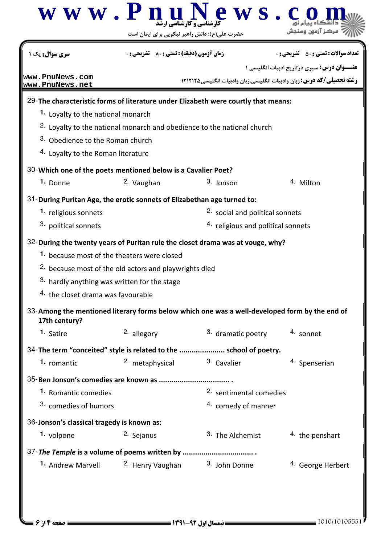|                                                                                                                                                                                                                                                                                                                                                                                       | $\overline{\mathbf{w}}$ $\mathbf{w}$ $\mathbf{w}$ . $\mathbf{P}$ $\mathbf{n}$ $\mathbf{u}$ $\mathbf{v}$<br>حضرت علی(ع): دانش راهبر نیکویی برای ایمان است | ews.                                                                              |                                                                                                                             |
|---------------------------------------------------------------------------------------------------------------------------------------------------------------------------------------------------------------------------------------------------------------------------------------------------------------------------------------------------------------------------------------|----------------------------------------------------------------------------------------------------------------------------------------------------------|-----------------------------------------------------------------------------------|-----------------------------------------------------------------------------------------------------------------------------|
| <b>سری سوال :</b> یک                                                                                                                                                                                                                                                                                                                                                                  | <b>زمان آزمون (دقیقه) : تستی : 80 ٪ تشریحی : 0</b>                                                                                                       |                                                                                   | <b>تعداد سوالات : تستي : 50 ٪ تشريحي : 0</b>                                                                                |
| www.PnuNews.com<br>www.PnuNews.net                                                                                                                                                                                                                                                                                                                                                    |                                                                                                                                                          |                                                                                   | <b>عنـــوان درس:</b> سیری در تاریخ ادبیات انگلیسی ۱<br>رشته تحصیلی/کد درس: زبان وادبیات انگلیسی،زبان وادبیات انگلیسی۱۲۱۲۱۲۵ |
| 29-The characteristic forms of literature under Elizabeth were courtly that means:<br>1. Loyalty to the national monarch<br>3. Obedience to the Roman church<br><sup>4.</sup> Loyalty to the Roman literature                                                                                                                                                                         | <sup>2.</sup> Loyalty to the national monarch and obedience to the national church                                                                       |                                                                                   |                                                                                                                             |
| 30-Which one of the poets mentioned below is a Cavalier Poet?                                                                                                                                                                                                                                                                                                                         |                                                                                                                                                          |                                                                                   |                                                                                                                             |
| 1. Donne                                                                                                                                                                                                                                                                                                                                                                              | 2. Vaughan                                                                                                                                               | 3. Jonson                                                                         | 4. Milton                                                                                                                   |
| 1. religious sonnets<br>3. political sonnets<br>32-During the twenty years of Puritan rule the closet drama was at vouge, why?<br>1. because most of the theaters were closed<br>3. hardly anything was written for the stage<br>4. the closet drama was favourable<br>33-Among the mentioned literary forms below which one was a well-developed form by the end of<br>17th century? | <sup>2.</sup> because most of the old actors and playwrights died                                                                                        | <sup>2.</sup> social and political sonnets<br>4. religious and political sonnets  |                                                                                                                             |
| 1. Satire                                                                                                                                                                                                                                                                                                                                                                             | 2. allegory                                                                                                                                              | 3. dramatic poetry                                                                | 4. sonnet                                                                                                                   |
| 34-The term "conceited" style is related to the  school of poetry.<br>1. romantic<br>35-Ben Jonson's comedies are known as<br><b>1.</b> Romantic comedies<br>3. comedies of humors<br>36-Jonson's classical tragedy is known as:<br>1. volpone                                                                                                                                        | 2. metaphysical<br>2. Sejanus                                                                                                                            | 3. Cavalier<br>2. sentimental comedies<br>4. comedy of manner<br>3. The Alchemist | 4. Spenserian<br>4. the penshart                                                                                            |
| 37-The Temple is a volume of poems written by<br><sup>1.</sup> Andrew Marvell                                                                                                                                                                                                                                                                                                         | <sup>2.</sup> Henry Vaughan                                                                                                                              | 3. John Donne                                                                     | <sup>4.</sup> George Herbert                                                                                                |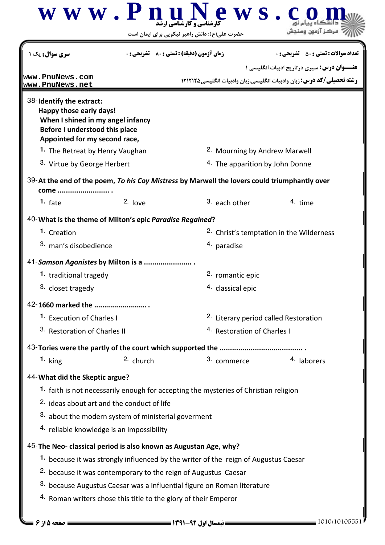| <b>سری سوال :</b> یک ۱                                                                                                                                      | <b>زمان آزمون (دقیقه) : تستی : 80 ٪ تشریحی : 0</b>                                           | <b>تعداد سوالات : تستي : 50 ٪ تشريحي : 0</b>                                |  |
|-------------------------------------------------------------------------------------------------------------------------------------------------------------|----------------------------------------------------------------------------------------------|-----------------------------------------------------------------------------|--|
| www.PnuNews.com                                                                                                                                             |                                                                                              | <b>عنـــوان درس:</b> سیری درتاریخ ادبیات انگلیسی ۱                          |  |
| www.PnuNews.net                                                                                                                                             |                                                                                              | <b>رشته تحصیلی/کد درس:</b> زبان وادبیات انگلیسی،زبان وادبیات انگلیسی1۲۱۲۱۲۵ |  |
| 38-Identify the extract:<br>Happy those early days!<br>When I shined in my angel infancy<br>Before I understood this place<br>Appointed for my second race, |                                                                                              |                                                                             |  |
| 1. The Retreat by Henry Vaughan                                                                                                                             | <sup>2.</sup> Mourning by Andrew Marwell                                                     |                                                                             |  |
| 3. Virtue by George Herbert                                                                                                                                 | 4. The apparition by John Donne                                                              |                                                                             |  |
| come                                                                                                                                                        | 39-At the end of the poem, To his Coy Mistress by Marwell the lovers could triumphantly over |                                                                             |  |
| $2.$ love<br>1. $fate$                                                                                                                                      | 3. each other                                                                                | 4. time                                                                     |  |
| 40-What is the theme of Milton's epic Paradise Regained?                                                                                                    |                                                                                              |                                                                             |  |
| 1. Creation                                                                                                                                                 |                                                                                              | <sup>2.</sup> Christ's temptation in the Wilderness                         |  |
| 3. man's disobedience                                                                                                                                       | 4. paradise                                                                                  |                                                                             |  |
| 41-Samson Agonistes by Milton is a                                                                                                                          |                                                                                              |                                                                             |  |
| 1. traditional tragedy                                                                                                                                      | 2. romantic epic                                                                             |                                                                             |  |
| 3. closet tragedy                                                                                                                                           | 4. classical epic                                                                            |                                                                             |  |
| 42-1660 marked the                                                                                                                                          |                                                                                              |                                                                             |  |
| 1. Execution of Charles I                                                                                                                                   | 2. Literary period called Restoration                                                        |                                                                             |  |
| 3. Restoration of Charles II                                                                                                                                |                                                                                              | 4. Restoration of Charles I                                                 |  |
|                                                                                                                                                             |                                                                                              |                                                                             |  |
| 1. $\text{king}$                                                                                                                                            | 3. commerce<br>2. church                                                                     | 4. laborers                                                                 |  |
| 44- What did the Skeptic argue?                                                                                                                             |                                                                                              |                                                                             |  |
|                                                                                                                                                             | 1. faith is not necessarily enough for accepting the mysteries of Christian religion         |                                                                             |  |
| 2. ideas about art and the conduct of life                                                                                                                  |                                                                                              |                                                                             |  |
| 3. about the modern system of ministerial goverment                                                                                                         |                                                                                              |                                                                             |  |
| 4. reliable knowledge is an impossibility                                                                                                                   |                                                                                              |                                                                             |  |
| 45-The Neo- classical period is also known as Augustan Age, why?                                                                                            |                                                                                              |                                                                             |  |
|                                                                                                                                                             | 1. because it was strongly influenced by the writer of the reign of Augustus Caesar          |                                                                             |  |
|                                                                                                                                                             | <sup>2.</sup> because it was contemporary to the reign of Augustus Caesar                    |                                                                             |  |
|                                                                                                                                                             | 3. because Augustus Caesar was a influential figure on Roman literature                      |                                                                             |  |
|                                                                                                                                                             | 4. Roman writers chose this title to the glory of their Emperor                              |                                                                             |  |